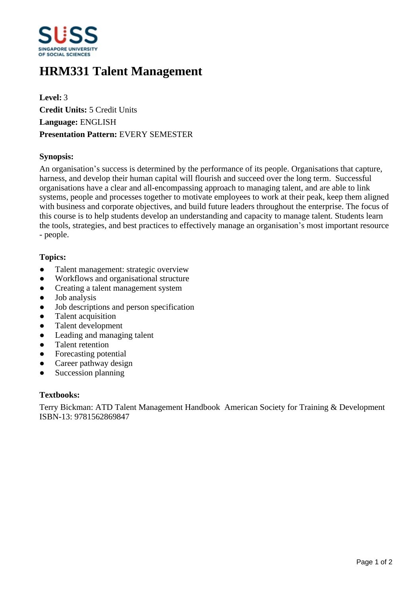

# **HRM331 Talent Management**

**Level:** 3 **Credit Units:** 5 Credit Units **Language:** ENGLISH **Presentation Pattern:** EVERY SEMESTER

# **Synopsis:**

An organisation's success is determined by the performance of its people. Organisations that capture, harness, and develop their human capital will flourish and succeed over the long term. Successful organisations have a clear and all-encompassing approach to managing talent, and are able to link systems, people and processes together to motivate employees to work at their peak, keep them aligned with business and corporate objectives, and build future leaders throughout the enterprise. The focus of this course is to help students develop an understanding and capacity to manage talent. Students learn the tools, strategies, and best practices to effectively manage an organisation's most important resource - people.

# **Topics:**

- Talent management: strategic overview
- Workflows and organisational structure
- Creating a talent management system
- Job analysis
- Job descriptions and person specification
- Talent acquisition
- ƔTalent development
- Leading and managing talent
- Talent retention
- Forecasting potential
- Career pathway design
- Succession planning

#### **Textbooks:**

Terry Bickman: ATD Talent Management Handbook American Society for Training & Development ISBN-13: 9781562869847